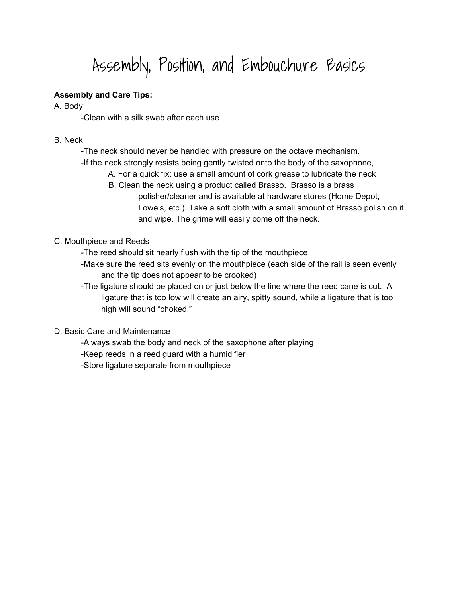# Assembly, Position, and Embouchure Basics

## **Assembly and Care Tips:**

A. Body

-Clean with a silk swab after each use

- B. Neck
	- -The neck should never be handled with pressure on the octave mechanism.
	- -If the neck strongly resists being gently twisted onto the body of the saxophone,
		- A. For a quick fix: use a small amount of cork grease to lubricate the neck
		- B. Clean the neck using a product called Brasso. Brasso is a brass polisher/cleaner and is available at hardware stores (Home Depot, Lowe's, etc.). Take a soft cloth with a small amount of Brasso polish on it and wipe. The grime will easily come off the neck.

#### C. Mouthpiece and Reeds

- -The reed should sit nearly flush with the tip of the mouthpiece
- -Make sure the reed sits evenly on the mouthpiece (each side of the rail is seen evenly and the tip does not appear to be crooked)
- -The ligature should be placed on or just below the line where the reed cane is cut. A ligature that is too low will create an airy, spitty sound, while a ligature that is too high will sound "choked."

#### D. Basic Care and Maintenance

-Always swab the body and neck of the saxophone after playing -Keep reeds in a reed guard with a humidifier -Store ligature separate from mouthpiece